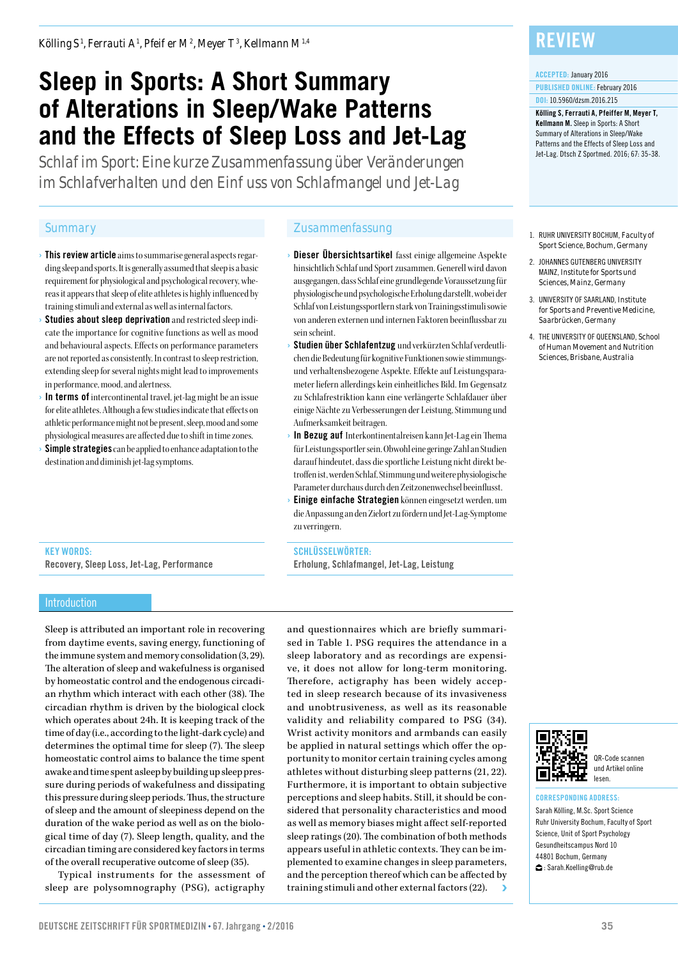*Kölling S <sup>1</sup> , Ferrauti A1 , Pfeiffer M2 , Meyer T3 , Kellmann M1,4*

# **Sleep in Sports: A Short Summary of Alterations in Sleep/Wake Patterns and the Effects of Sleep Loss and Jet-Lag**

*Schlaf im Sport: Eine kurze Zusammenfassung über Veränderungen im Schlafverhalten und den Ein uss von Schlafmangel und Jet-Lag* 

- $\bullet$  This review article aims to summarise general aspects regarding sleep and sports. It is generally assumed that sleep is a basic requirement for physiological and psychological recovery, whereas it appears that sleep of elite athletes is highly influenced by training stimuli and external as well as internal factors.
- Studies about sleep deprivation and restricted sleep indicate the importance for cognitive functions as well as mood and behavioural aspects. Effects on performance parameters are not reported as consistently. In contrast to sleep restriction, extending sleep for several nights might lead to improvements in performance, mood, and alertness.
- › In terms of intercontinental travel, jet-lag might be an issue for elite athletes. Although a few studies indicate that effects on athletic performance might not be present, sleep, mood and some physiological measures are affected due to shift in time zones.
- **Simple strategies** can be applied to enhance adaptation to the destination and diminish jet-lag symptoms.

#### *Summary Zusammenfassung*

- Dieser Übersichtsartikel fasst einige allgemeine Aspekte hinsichtlich Schlaf und Sport zusammen. Generell wird davon ausgegangen, dass Schlaf eine grundlegende Voraussetzung für physiologische und psychologische Erholung darstellt, wobei der Schlaf von Leistungssportlern stark von Trainingsstimuli sowie von anderen externen und internen Faktoren beeinflussbar zu sein scheint.
- Studien über Schlafentzug und verkürzten Schlaf verdeutlichen die Bedeutung für kognitive Funktionen sowie stimmungsund verhaltensbezogene Aspekte. Effekte auf Leistungsparameter liefern allerdings kein einheitliches Bild. Im Gegensatz zu Schlafrestriktion kann eine verlängerte Schlafdauer über einige Nächte zu Verbesserungen der Leistung, Stimmung und Aufmerksamkeit beitragen.
- In Bezug auf Interkontinentalreisen kann Jet-Lag ein Thema für Leistungssportler sein. Obwohl eine geringe Zahl an Studien darauf hindeutet, dass die sportliche Leistung nicht direkt betroffen ist, werden Schlaf, Stimmung und weitere physiologische Parameter durchaus durch den Zeitzonenwechsel beeinflusst.
- Einige einfache Strategien können eingesetzt werden, um die Anpassung an den Zielort zu fördern und Jet-Lag-Symptome zu verringern.

SCHLÜSSELWÖRTER:

Erholung, Schlafmangel, Jet-Lag, Leistung

## **REVIEW**

#### ACCEPTED: January 2016

PUBLISHED ONLINE: February 2016 DOI: 10.5960/dzsm.2016.215

Kölling S, Ferrauti A, Pfeiffer M, Meyer T, Kellmann M. Sleep in Sports: A Short Summary of Alterations in Sleep/Wake Patterns and the Effects of Sleep Loss and Jet-Lag. Dtsch Z Sportmed. 2016; 67: 35-38.

- 1. RUHR UNIVERSITY BOCHUM, *Faculty of Sport Science, Bochum, Germany*
- 2. JOHANNES GUTENBERG UNIVERSITY MAINZ, *Institute for Sports und Sciences, Mainz, Germany*
- 3. UNIVERSITY OF SAARLAND, *Institute for Sports and Preventive Medicine, Saarbrücken, Germany*
- 4. THE UNIVERSITY OF QUEENSLAND, *School of Human Movement and Nutrition Sciences, Brisbane, Australia*

### KEY WORDS:

Recovery, Sleep Loss, Jet-Lag, Performance

#### Introduction

Sleep is attributed an important role in recovering from daytime events, saving energy, functioning of the immune system and memory consolidation (3, 29). The alteration of sleep and wakefulness is organised by homeostatic control and the endogenous circadian rhythm which interact with each other (38). The circadian rhythm is driven by the biological clock which operates about 24h. It is keeping track of the time of day (i.e., according to the light-dark cycle) and determines the optimal time for sleep (7). The sleep homeostatic control aims to balance the time spent awake and time spent asleep by building up sleep pressure during periods of wakefulness and dissipating this pressure during sleep periods. Thus, the structure of sleep and the amount of sleepiness depend on the duration of the wake period as well as on the biological time of day (7). Sleep length, quality, and the circadian timing are considered key factors in terms of the overall recuperative outcome of sleep (35).

Typical instruments for the assessment of sleep are polysomnography (PSG), actigraphy

and questionnaires which are briefly summarised in Table 1. PSG requires the attendance in a sleep laboratory and as recordings are expensive, it does not allow for long-term monitoring. Therefore, actigraphy has been widely accepted in sleep research because of its invasiveness and unobtrusiveness, as well as its reasonable validity and reliability compared to PSG (34). Wrist activity monitors and armbands can easily be applied in natural settings which offer the opportunity to monitor certain training cycles among athletes without disturbing sleep patterns (21, 22). Furthermore, it is important to obtain subjective perceptions and sleep habits. Still, it should be considered that personality characteristics and mood as well as memory biases might affect self-reported sleep ratings (20). The combination of both methods appears useful in athletic contexts. They can be implemented to examine changes in sleep parameters, and the perception thereof which can be affected by training stimuli and other external factors (22).



QR-Code scannen und Artikel online lesen.

#### CORRESPONDING ADDRESS:

Sarah Kölling, M.Sc. Sport Science Ruhr University Bochum, Faculty of Sport Science, Unit of Sport Psychology Gesundheitscampus Nord 10 44801 Bochum, Germany Sarah.Koelling@rub.de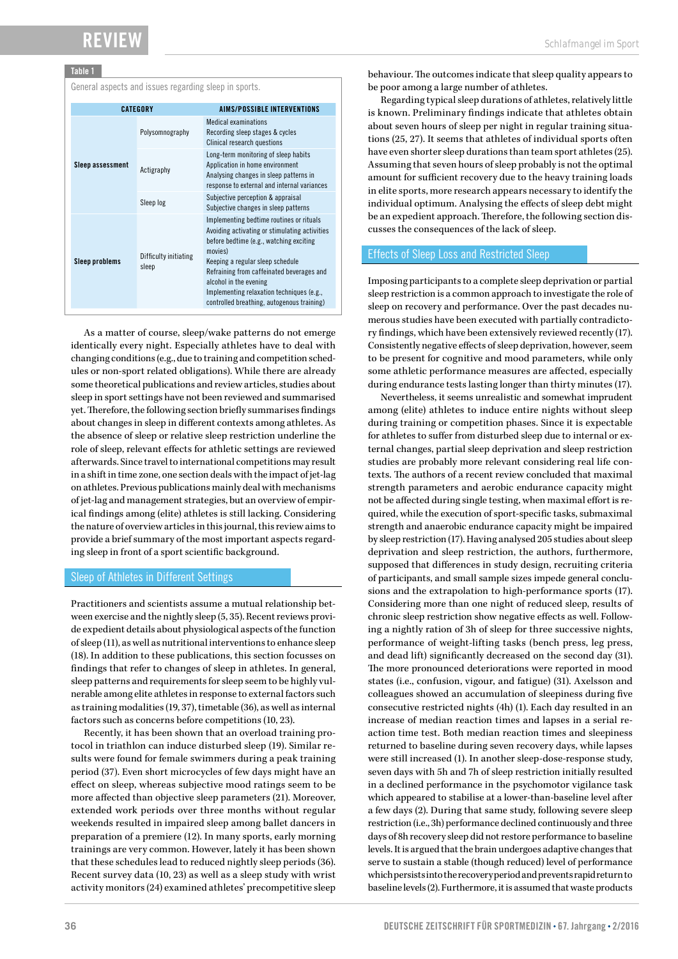## Review

#### Table 1

General aspects and issues regarding sleep in sports.

| <b>CATEGORY</b>       |                                | AIMS/POSSIBLE INTERVENTIONS                                                                                                                                                                                                                                                                                                                           |
|-----------------------|--------------------------------|-------------------------------------------------------------------------------------------------------------------------------------------------------------------------------------------------------------------------------------------------------------------------------------------------------------------------------------------------------|
| Sleep assessment      | Polysomnography                | <b>Medical examinations</b><br>Recording sleep stages & cycles<br><b>Clinical research questions</b>                                                                                                                                                                                                                                                  |
|                       | Actigraphy                     | Long-term monitoring of sleep habits<br>Application in home environment<br>Analysing changes in sleep patterns in<br>response to external and internal variances                                                                                                                                                                                      |
|                       | Sleep log                      | Subjective perception & appraisal<br>Subjective changes in sleep patterns                                                                                                                                                                                                                                                                             |
| <b>Sleep problems</b> | Difficulty initiating<br>sleep | Implementing bedtime routines or rituals<br>Avoiding activating or stimulating activities<br>before bedtime (e.g., watching exciting<br>movies)<br>Keeping a regular sleep schedule<br>Refraining from caffeinated beverages and<br>alcohol in the evening<br>Implementing relaxation techniques (e.g.,<br>controlled breathing, autogenous training) |

As a matter of course, sleep/wake patterns do not emerge identically every night. Especially athletes have to deal with changing conditions (e.g., due to training and competition schedules or non-sport related obligations). While there are already some theoretical publications and review articles, studies about sleep in sport settings have not been reviewed and summarised yet. Therefore, the following section briefly summarises findings about changes in sleep in different contexts among athletes. As the absence of sleep or relative sleep restriction underline the role of sleep, relevant effects for athletic settings are reviewed afterwards. Since travel to international competitions may result in a shift in time zone, one section deals with the impact of jet-lag on athletes. Previous publications mainly deal with mechanisms of jet-lag and management strategies, but an overview of empirical findings among (elite) athletes is still lacking. Considering the nature of overview articles in this journal, this review aims to provide a brief summary of the most important aspects regarding sleep in front of a sport scientific background.

#### Sleep of Athletes in Different Settings

Practitioners and scientists assume a mutual relationship between exercise and the nightly sleep (5, 35). Recent reviews provide expedient details about physiological aspects of the function of sleep (11), as well as nutritional interventions to enhance sleep (18). In addition to these publications, this section focusses on findings that refer to changes of sleep in athletes. In general, sleep patterns and requirements for sleep seem to be highly vulnerable among elite athletes in response to external factors such as training modalities (19, 37), timetable (36), as well as internal factors such as concerns before competitions (10, 23).

Recently, it has been shown that an overload training protocol in triathlon can induce disturbed sleep (19). Similar results were found for female swimmers during a peak training period (37). Even short microcycles of few days might have an effect on sleep, whereas subjective mood ratings seem to be more affected than objective sleep parameters (21). Moreover, extended work periods over three months without regular weekends resulted in impaired sleep among ballet dancers in preparation of a premiere (12). In many sports, early morning trainings are very common. However, lately it has been shown that these schedules lead to reduced nightly sleep periods (36). Recent survey data (10, 23) as well as a sleep study with wrist activity monitors (24) examined athletes' precompetitive sleep

behaviour. The outcomes indicate that sleep quality appears to be poor among a large number of athletes.

Regarding typical sleep durations of athletes, relatively little is known. Preliminary findings indicate that athletes obtain about seven hours of sleep per night in regular training situations (25, 27). It seems that athletes of individual sports often have even shorter sleep durations than team sport athletes (25). Assuming that seven hours of sleep probably is not the optimal amount for sufficient recovery due to the heavy training loads in elite sports, more research appears necessary to identify the individual optimum. Analysing the effects of sleep debt might be an expedient approach. Therefore, the following section discusses the consequences of the lack of sleep.

#### Effects of Sleep Loss and Restricted Sleep

Imposing participants to a complete sleep deprivation or partial sleep restriction is a common approach to investigate the role of sleep on recovery and performance. Over the past decades numerous studies have been executed with partially contradictory findings, which have been extensively reviewed recently (17). Consistently negative effects of sleep deprivation, however, seem to be present for cognitive and mood parameters, while only some athletic performance measures are affected, especially during endurance tests lasting longer than thirty minutes (17).

Nevertheless, it seems unrealistic and somewhat imprudent among (elite) athletes to induce entire nights without sleep during training or competition phases. Since it is expectable for athletes to suffer from disturbed sleep due to internal or external changes, partial sleep deprivation and sleep restriction studies are probably more relevant considering real life contexts. The authors of a recent review concluded that maximal strength parameters and aerobic endurance capacity might not be affected during single testing, when maximal effort is required, while the execution of sport-specific tasks, submaximal strength and anaerobic endurance capacity might be impaired by sleep restriction (17). Having analysed 205 studies about sleep deprivation and sleep restriction, the authors, furthermore, supposed that differences in study design, recruiting criteria of participants, and small sample sizes impede general conclusions and the extrapolation to high-performance sports (17). Considering more than one night of reduced sleep, results of chronic sleep restriction show negative effects as well. Following a nightly ration of 3h of sleep for three successive nights, performance of weight-lifting tasks (bench press, leg press, and dead lift) significantly decreased on the second day (31). The more pronounced deteriorations were reported in mood states (i.e., confusion, vigour, and fatigue) (31). Axelsson and colleagues showed an accumulation of sleepiness during five consecutive restricted nights (4h) (1). Each day resulted in an increase of median reaction times and lapses in a serial reaction time test. Both median reaction times and sleepiness returned to baseline during seven recovery days, while lapses were still increased (1). In another sleep-dose-response study, seven days with 5h and 7h of sleep restriction initially resulted in a declined performance in the psychomotor vigilance task which appeared to stabilise at a lower-than-baseline level after a few days (2). During that same study, following severe sleep restriction (i.e., 3h) performance declined continuously and three days of 8h recovery sleep did not restore performance to baseline levels. It is argued that the brain undergoes adaptive changes that serve to sustain a stable (though reduced) level of performance which persists into the recovery period and prevents rapid return to baseline levels (2). Furthermore, it is assumed that waste products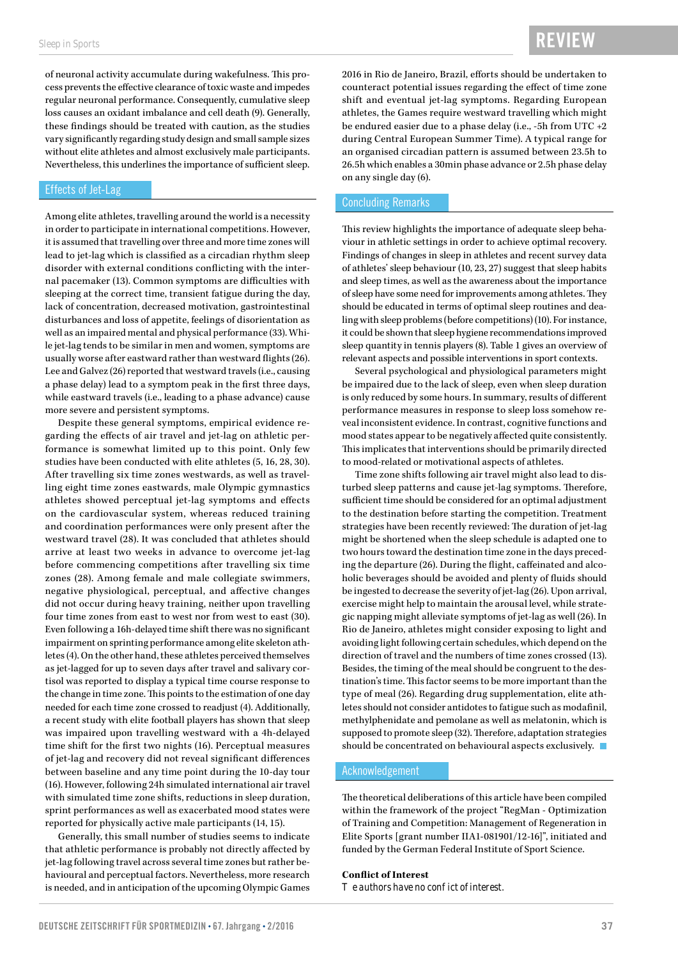of neuronal activity accumulate during wakefulness. This process prevents the effective clearance of toxic waste and impedes regular neuronal performance. Consequently, cumulative sleep loss causes an oxidant imbalance and cell death (9). Generally, these findings should be treated with caution, as the studies vary significantly regarding study design and small sample sizes without elite athletes and almost exclusively male participants. Nevertheless, this underlines the importance of sufficient sleep.

#### Effects of Jet-Lag

Among elite athletes, travelling around the world is a necessity in order to participate in international competitions. However, it is assumed that travelling over three and more time zones will lead to jet-lag which is classified as a circadian rhythm sleep disorder with external conditions conflicting with the internal pacemaker (13). Common symptoms are difficulties with sleeping at the correct time, transient fatigue during the day, lack of concentration, decreased motivation, gastrointestinal disturbances and loss of appetite, feelings of disorientation as well as an impaired mental and physical performance (33). While jet-lag tends to be similar in men and women, symptoms are usually worse after eastward rather than westward flights (26). Lee and Galvez (26) reported that westward travels (i.e., causing a phase delay) lead to a symptom peak in the first three days, while eastward travels (i.e., leading to a phase advance) cause more severe and persistent symptoms.

Despite these general symptoms, empirical evidence regarding the effects of air travel and jet-lag on athletic performance is somewhat limited up to this point. Only few studies have been conducted with elite athletes (5, 16, 28, 30). After travelling six time zones westwards, as well as travelling eight time zones eastwards, male Olympic gymnastics athletes showed perceptual jet-lag symptoms and effects on the cardiovascular system, whereas reduced training and coordination performances were only present after the westward travel (28). It was concluded that athletes should arrive at least two weeks in advance to overcome jet-lag before commencing competitions after travelling six time zones (28). Among female and male collegiate swimmers, negative physiological, perceptual, and affective changes did not occur during heavy training, neither upon travelling four time zones from east to west nor from west to east (30). Even following a 16h-delayed time shift there was no significant impairment on sprinting performance among elite skeleton athletes (4). On the other hand, these athletes perceived themselves as jet-lagged for up to seven days after travel and salivary cortisol was reported to display a typical time course response to the change in time zone. This points to the estimation of one day needed for each time zone crossed to readjust (4). Additionally, a recent study with elite football players has shown that sleep was impaired upon travelling westward with a 4h-delayed time shift for the first two nights (16). Perceptual measures of jet-lag and recovery did not reveal significant differences between baseline and any time point during the 10-day tour (16). However, following 24h simulated international air travel with simulated time zone shifts, reductions in sleep duration, sprint performances as well as exacerbated mood states were reported for physically active male participants (14, 15).

Generally, this small number of studies seems to indicate that athletic performance is probably not directly affected by jet-lag following travel across several time zones but rather behavioural and perceptual factors. Nevertheless, more research is needed, and in anticipation of the upcoming Olympic Games

2016 in Rio de Janeiro, Brazil, efforts should be undertaken to counteract potential issues regarding the effect of time zone shift and eventual jet-lag symptoms. Regarding European athletes, the Games require westward travelling which might be endured easier due to a phase delay (i.e., -5h from UTC +2 during Central European Summer Time). A typical range for an organised circadian pattern is assumed between 23.5h to 26.5h which enables a 30min phase advance or 2.5h phase delay on any single day (6).

#### Concluding Remarks

This review highlights the importance of adequate sleep behaviour in athletic settings in order to achieve optimal recovery. Findings of changes in sleep in athletes and recent survey data of athletes' sleep behaviour (10, 23, 27) suggest that sleep habits and sleep times, as well as the awareness about the importance of sleep have some need for improvements among athletes. They should be educated in terms of optimal sleep routines and dealing with sleep problems (before competitions) (10). For instance, it could be shown that sleep hygiene recommendations improved sleep quantity in tennis players (8). Table 1 gives an overview of relevant aspects and possible interventions in sport contexts.

Several psychological and physiological parameters might be impaired due to the lack of sleep, even when sleep duration is only reduced by some hours. In summary, results of different performance measures in response to sleep loss somehow reveal inconsistent evidence. In contrast, cognitive functions and mood states appear to be negatively affected quite consistently. This implicates that interventions should be primarily directed to mood-related or motivational aspects of athletes.

Time zone shifts following air travel might also lead to disturbed sleep patterns and cause jet-lag symptoms. Therefore, sufficient time should be considered for an optimal adjustment to the destination before starting the competition. Treatment strategies have been recently reviewed: The duration of jet-lag might be shortened when the sleep schedule is adapted one to two hours toward the destination time zone in the days preceding the departure (26). During the flight, caffeinated and alcoholic beverages should be avoided and plenty of fluids should be ingested to decrease the severity of jet-lag (26). Upon arrival, exercise might help to maintain the arousal level, while strategic napping might alleviate symptoms of jet-lag as well (26). In Rio de Janeiro, athletes might consider exposing to light and avoiding light following certain schedules, which depend on the direction of travel and the numbers of time zones crossed (13). Besides, the timing of the meal should be congruent to the destination's time. This factor seems to be more important than the type of meal (26). Regarding drug supplementation, elite athletes should not consider antidotes to fatigue such as modafinil, methylphenidate and pemolane as well as melatonin, which is supposed to promote sleep (32). Therefore, adaptation strategies should be concentrated on behavioural aspects exclusively.

#### Acknowledgement

The theoretical deliberations of this article have been compiled within the framework of the project "RegMan - Optimization of Training and Competition: Management of Regeneration in Elite Sports [grant number IIA1-081901/12-16]", initiated and funded by the German Federal Institute of Sport Science.

#### **Conflict of Interest**

 $$